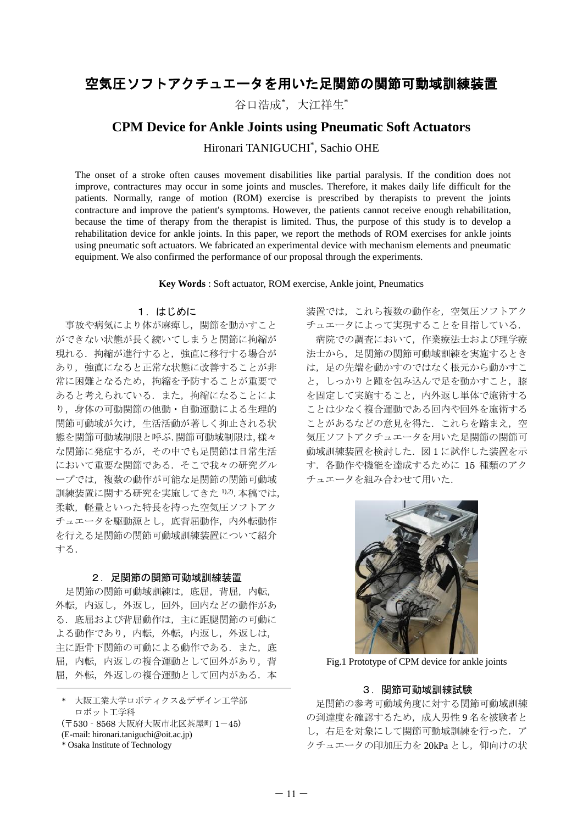# 空気圧ソフトアクチュエータを用いた足関節の関節可動域訓練装置

谷口浩成\*,大江祥生\*

## **CPM Device for Ankle Joints using Pneumatic Soft Actuators**

Hironari TANIGUCHI\* , Sachio OHE

The onset of a stroke often causes movement disabilities like partial paralysis. If the condition does not improve, contractures may occur in some joints and muscles. Therefore, it makes daily life difficult for the patients. Normally, range of motion (ROM) exercise is prescribed by therapists to prevent the joints contracture and improve the patient's symptoms. However, the patients cannot receive enough rehabilitation, because the time of therapy from the therapist is limited. Thus, the purpose of this study is to develop a rehabilitation device for ankle joints. In this paper, we report the methods of ROM exercises for ankle joints using pneumatic soft actuators. We fabricated an experimental device with mechanism elements and pneumatic equipment. We also confirmed the performance of our proposal through the experiments.

**Key Words** : Soft actuator, ROM exercise, Ankle joint, Pneumatics

#### 1.はじめに

事故や病気により体が麻痺し,関節を動かすこと ができない状態が長く続いてしまうと関節に拘縮が 現れる. 拘縮が進行すると,強直に移行する場合が あり、強直になると正常な状態に改善することが非 常に困難となるため,拘縮を予防することが重要で あると考えられている. また、拘縮になることによ り、身体の可動関節の他動・自動運動による生理的 関節可動域が欠け,生活活動が著しく抑止される状 態を関節可動域制限と呼ぶ.関節可動域制限は,様々 な関節に発症するが,その中でも足関節は日常生活 において重要な関節である.そこで我々の研究グル ープでは,複数の動作が可能な足関節の関節可動域 訓練装置に関する研究を実施してきた 1),2).本稿では, 柔軟、軽量といった特長を持った空気圧ソフトアク チュエータを駆動源とし,底背屈動作,内外転動作 を行える足関節の関節可動域訓練装置について紹介 する.

#### 2. 足関節の関節可動域訓練装置

足関節の関節可動域訓練は,底屈,背屈,内転, 外転,内返し,外返し,回外,回内などの動作があ る.底屈および背屈動作は,主に距腿関節の可動に よる動作であり,内転,外転,内返し,外返しは, 主に距骨下関節の可動による動作である. また、底 屈,内転,内返しの複合運動として回外があり,背 屈,外転,外返しの複合運動として回内がある. 本

(〒530‐8568 大阪府大阪市北区茶屋町 1-45)

装置では,これら複数の動作を,空気圧ソフトアク チュエータによって実現することを目指している.

病院での調査において,作業療法士および理学療 法士から,足関節の関節可動域訓練を実施するとき は,足の先端を動かすのではなく根元から動かすこ と,しっかりと踵を包み込んで足を動かすこと,膝 を固定して実施すること,内外返し単体で施術する ことは少なく複合運動である回内や回外を施術する ことがあるなどの意見を得た. これらを踏まえ、空 気圧ソフトアクチュエータを用いた足関節の関節可 動域訓練装置を検討した. 図1に試作した装置を示 す. 各動作や機能を達成するために 15 種類のアク チュエータを組み合わせて用いた.



Fig.1 Prototype of CPM device for ankle joints

### 3.関節可動域訓練試験

足関節の参考可動域角度に対する関節可動域訓練 の到達度を確認するため、成人男性9名を被験者と し,右足を対象にして関節可動域訓練を行った.ア クチュエータの印加圧力を 20kPa とし、仰向けの状

大阪工業大学ロボティクス&デザイン工学部 ロボット工学科

<sup>(</sup>E-mail: hironari.taniguchi@oit.ac.jp)

<sup>\*</sup> Osaka Institute of Technology